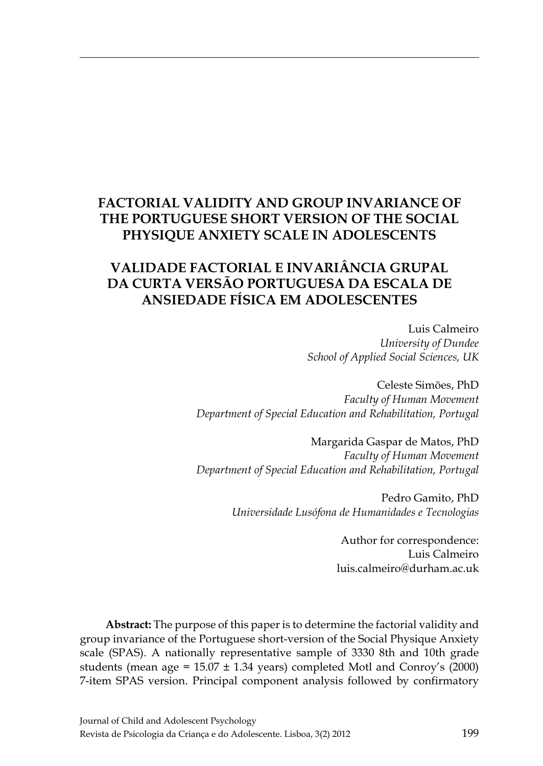# **Factorial Validity and Group Invariance of the Portuguese short version of the Social Physique Anxiety Scale in Adolescents**

# **Validade Factorial e Invariância Grupal da curta versão Portuguesa da Escala de Ansiedade Física em Adolescentes**

Luis Calmeiro *University of Dundee School of Applied Social Sciences, UK*

Celeste Simões, PhD *Faculty of Human Movement Department of Special Education and Rehabilitation, Portugal*

Margarida Gaspar de Matos, PhD *Faculty of Human Movement Department of Special Education and Rehabilitation, Portugal*

> Pedro Gamito, PhD *Universidade Lusófona de Humanidades e Tecnologias*

> > Author for correspondence: Luis Calmeiro luis.calmeiro@durham.ac.uk

**Abstract:** The purpose of this paper is to determine the factorial validity and group invariance of the Portuguese short-version of the Social Physique Anxiety scale (SPAS). A nationally representative sample of 3330 8th and 10th grade students (mean age =  $15.07 \pm 1.34$  years) completed Motl and Conroy's (2000) 7-item SPAS version. Principal component analysis followed by confirmatory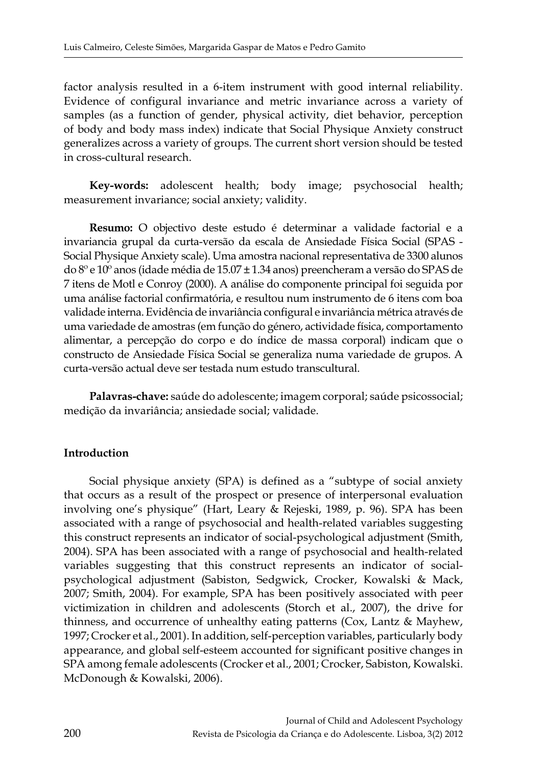factor analysis resulted in a 6-item instrument with good internal reliability. Evidence of configural invariance and metric invariance across a variety of samples (as a function of gender, physical activity, diet behavior, perception of body and body mass index) indicate that Social Physique Anxiety construct generalizes across a variety of groups. The current short version should be tested in cross-cultural research.

**Key-words:** adolescent health; body image; psychosocial health; measurement invariance; social anxiety; validity.

**Resumo:** O objectivo deste estudo é determinar a validade factorial e a invariancia grupal da curta-versão da escala de Ansiedade Física Social (SPAS - Social Physique Anxiety scale). Uma amostra nacional representativa de 3300 alunos do 8º e 10º anos (idade média de 15.07 ± 1.34 anos) preencheram a versão do SPAS de 7 itens de Motl e Conroy (2000). A análise do componente principal foi seguida por uma análise factorial confirmatória, e resultou num instrumento de 6 itens com boa validade interna. Evidência de invariância configural e invariância métrica através de uma variedade de amostras (em função do género, actividade física, comportamento alimentar, a percepção do corpo e do índice de massa corporal) indicam que o constructo de Ansiedade Física Social se generaliza numa variedade de grupos. A curta-versão actual deve ser testada num estudo transcultural.

**Palavras-chave:** saúde do adolescente; imagem corporal; saúde psicossocial; medição da invariância; ansiedade social; validade.

## **Introduction**

Social physique anxiety (SPA) is defined as a "subtype of social anxiety that occurs as a result of the prospect or presence of interpersonal evaluation involving one's physique" (Hart, Leary & Rejeski, 1989, p. 96). SPA has been associated with a range of psychosocial and health-related variables suggesting this construct represents an indicator of social-psychological adjustment (Smith, 2004). SPA has been associated with a range of psychosocial and health-related variables suggesting that this construct represents an indicator of socialpsychological adjustment (Sabiston, Sedgwick, Crocker, Kowalski & Mack, 2007; Smith, 2004). For example, SPA has been positively associated with peer victimization in children and adolescents (Storch et al., 2007), the drive for thinness, and occurrence of unhealthy eating patterns (Cox, Lantz & Mayhew, 1997; Crocker et al., 2001). In addition, self-perception variables, particularly body appearance, and global self-esteem accounted for significant positive changes in SPA among female adolescents (Crocker et al., 2001; Crocker, Sabiston, Kowalski. McDonough & Kowalski, 2006).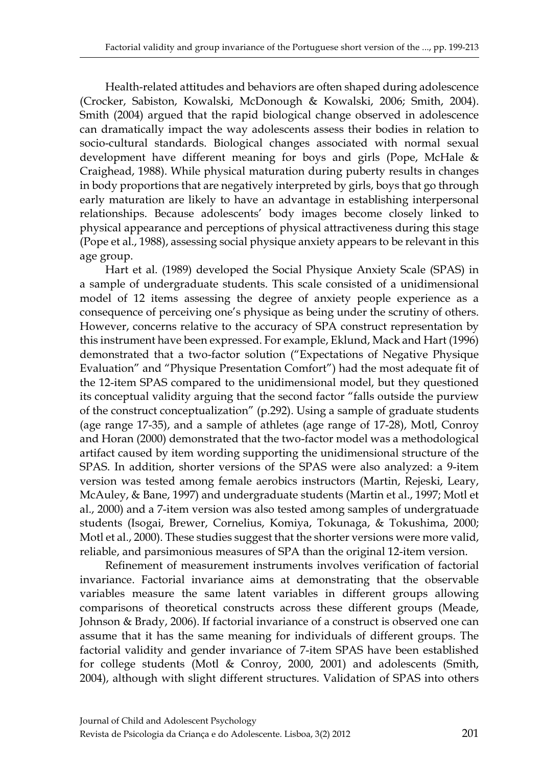Health-related attitudes and behaviors are often shaped during adolescence (Crocker, Sabiston, Kowalski, McDonough & Kowalski, 2006; Smith, 2004). Smith (2004) argued that the rapid biological change observed in adolescence can dramatically impact the way adolescents assess their bodies in relation to socio-cultural standards. Biological changes associated with normal sexual development have different meaning for boys and girls (Pope, McHale & Craighead, 1988). While physical maturation during puberty results in changes in body proportions that are negatively interpreted by girls, boys that go through early maturation are likely to have an advantage in establishing interpersonal relationships. Because adolescents' body images become closely linked to physical appearance and perceptions of physical attractiveness during this stage (Pope et al., 1988), assessing social physique anxiety appears to be relevant in this age group.

Hart et al. (1989) developed the Social Physique Anxiety Scale (SPAS) in a sample of undergraduate students. This scale consisted of a unidimensional model of 12 items assessing the degree of anxiety people experience as a consequence of perceiving one's physique as being under the scrutiny of others. However, concerns relative to the accuracy of SPA construct representation by this instrument have been expressed. For example, Eklund, Mack and Hart (1996) demonstrated that a two-factor solution ("Expectations of Negative Physique Evaluation" and "Physique Presentation Comfort") had the most adequate fit of the 12-item SPAS compared to the unidimensional model, but they questioned its conceptual validity arguing that the second factor "falls outside the purview of the construct conceptualization" (p.292). Using a sample of graduate students (age range 17-35), and a sample of athletes (age range of 17-28), Motl, Conroy and Horan (2000) demonstrated that the two-factor model was a methodological artifact caused by item wording supporting the unidimensional structure of the SPAS. In addition, shorter versions of the SPAS were also analyzed: a 9-item version was tested among female aerobics instructors (Martin, Rejeski, Leary, McAuley, & Bane, 1997) and undergraduate students (Martin et al., 1997; Motl et al., 2000) and a 7-item version was also tested among samples of undergratuade students (Isogai, Brewer, Cornelius, Komiya, Tokunaga, & Tokushima, 2000; Motl et al., 2000). These studies suggest that the shorter versions were more valid, reliable, and parsimonious measures of SPA than the original 12-item version.

Refinement of measurement instruments involves verification of factorial invariance. Factorial invariance aims at demonstrating that the observable variables measure the same latent variables in different groups allowing comparisons of theoretical constructs across these different groups (Meade, Johnson & Brady, 2006). If factorial invariance of a construct is observed one can assume that it has the same meaning for individuals of different groups. The factorial validity and gender invariance of 7-item SPAS have been established for college students (Motl & Conroy, 2000, 2001) and adolescents (Smith, 2004), although with slight different structures. Validation of SPAS into others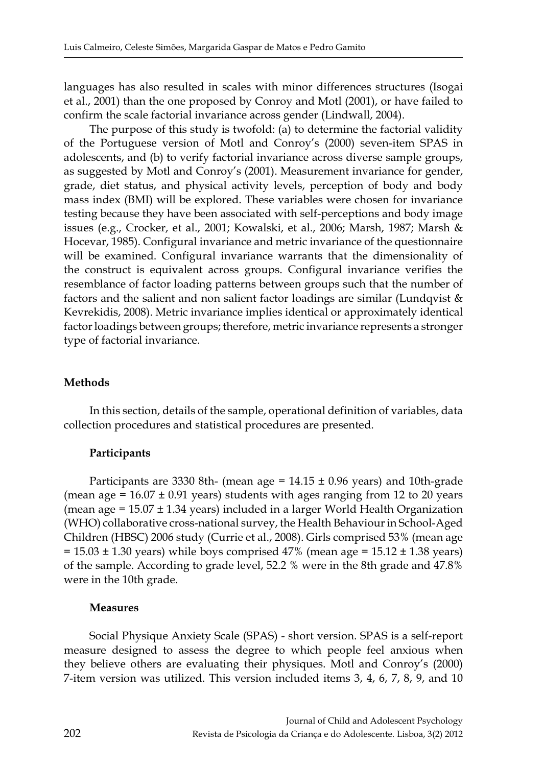languages has also resulted in scales with minor differences structures (Isogai et al., 2001) than the one proposed by Conroy and Motl (2001), or have failed to confirm the scale factorial invariance across gender (Lindwall, 2004).

The purpose of this study is twofold: (a) to determine the factorial validity of the Portuguese version of Motl and Conroy's (2000) seven-item SPAS in adolescents, and (b) to verify factorial invariance across diverse sample groups, as suggested by Motl and Conroy's (2001). Measurement invariance for gender, grade, diet status, and physical activity levels, perception of body and body mass index (BMI) will be explored. These variables were chosen for invariance testing because they have been associated with self-perceptions and body image issues (e.g., Crocker, et al., 2001; Kowalski, et al., 2006; Marsh, 1987; Marsh & Hocevar, 1985). Configural invariance and metric invariance of the questionnaire will be examined. Configural invariance warrants that the dimensionality of the construct is equivalent across groups. Configural invariance verifies the resemblance of factor loading patterns between groups such that the number of factors and the salient and non salient factor loadings are similar (Lundqvist & Kevrekidis, 2008). Metric invariance implies identical or approximately identical factor loadings between groups; therefore, metric invariance represents a stronger type of factorial invariance.

## **Methods**

In this section, details of the sample, operational definition of variables, data collection procedures and statistical procedures are presented.

# **Participants**

Participants are 3330 8th- (mean age =  $14.15 \pm 0.96$  years) and 10th-grade (mean age =  $16.07 \pm 0.91$  years) students with ages ranging from 12 to 20 years (mean age  $= 15.07 \pm 1.34$  years) included in a larger World Health Organization (WHO) collaborative cross-national survey, the Health Behaviour in School-Aged Children (HBSC) 2006 study (Currie et al., 2008). Girls comprised 53% (mean age  $= 15.03 \pm 1.30$  years) while boys comprised 47% (mean age  $= 15.12 \pm 1.38$  years) of the sample. According to grade level, 52.2 % were in the 8th grade and 47.8% were in the 10th grade.

## **Measures**

Social Physique Anxiety Scale (SPAS) - short version. SPAS is a self-report measure designed to assess the degree to which people feel anxious when they believe others are evaluating their physiques. Motl and Conroy's (2000) 7-item version was utilized. This version included items 3, 4, 6, 7, 8, 9, and 10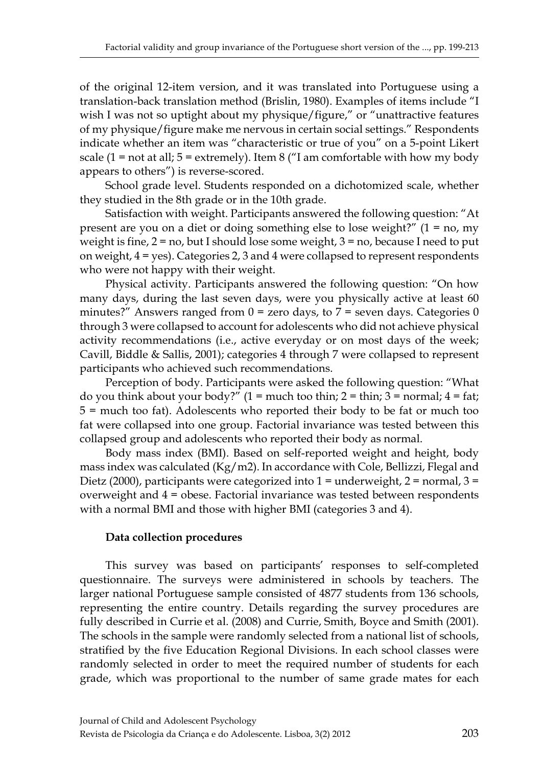of the original 12-item version, and it was translated into Portuguese using a translation-back translation method (Brislin, 1980). Examples of items include "I wish I was not so uptight about my physique/figure," or "unattractive features of my physique/figure make me nervous in certain social settings." Respondents indicate whether an item was "characteristic or true of you" on a 5-point Likert scale  $(1 = not at all; 5 = extremely)$ . Item 8 ("I am comfortable with how my body appears to others") is reverse-scored.

School grade level. Students responded on a dichotomized scale, whether they studied in the 8th grade or in the 10th grade.

Satisfaction with weight. Participants answered the following question: "At present are you on a diet or doing something else to lose weight?"  $(1 = no, my)$ weight is fine,  $2 = no$ , but I should lose some weight,  $3 = no$ , because I need to put on weight,  $4 = yes$ ). Categories 2, 3 and 4 were collapsed to represent respondents who were not happy with their weight.

Physical activity. Participants answered the following question: "On how many days, during the last seven days, were you physically active at least 60 minutes?" Answers ranged from  $0 =$  zero days, to  $7 =$  seven days. Categories 0 through 3 were collapsed to account for adolescents who did not achieve physical activity recommendations (i.e., active everyday or on most days of the week; Cavill, Biddle & Sallis, 2001); categories 4 through 7 were collapsed to represent participants who achieved such recommendations.

Perception of body. Participants were asked the following question: "What do you think about your body?"  $(1 = \text{much too thin}; 2 = \text{thin}; 3 = \text{normal}; 4 = \text{fat};$ 5 = much too fat). Adolescents who reported their body to be fat or much too fat were collapsed into one group. Factorial invariance was tested between this collapsed group and adolescents who reported their body as normal.

Body mass index (BMI). Based on self-reported weight and height, body mass index was calculated  $(Kg/m2)$ . In accordance with Cole, Bellizzi, Flegal and Dietz (2000), participants were categorized into  $1 =$  underweight,  $2 =$  normal,  $3 =$ overweight and 4 = obese. Factorial invariance was tested between respondents with a normal BMI and those with higher BMI (categories 3 and 4).

# **Data collection procedures**

This survey was based on participants' responses to self-completed questionnaire. The surveys were administered in schools by teachers. The larger national Portuguese sample consisted of 4877 students from 136 schools, representing the entire country. Details regarding the survey procedures are fully described in Currie et al. (2008) and Currie, Smith, Boyce and Smith (2001). The schools in the sample were randomly selected from a national list of schools, stratified by the five Education Regional Divisions. In each school classes were randomly selected in order to meet the required number of students for each grade, which was proportional to the number of same grade mates for each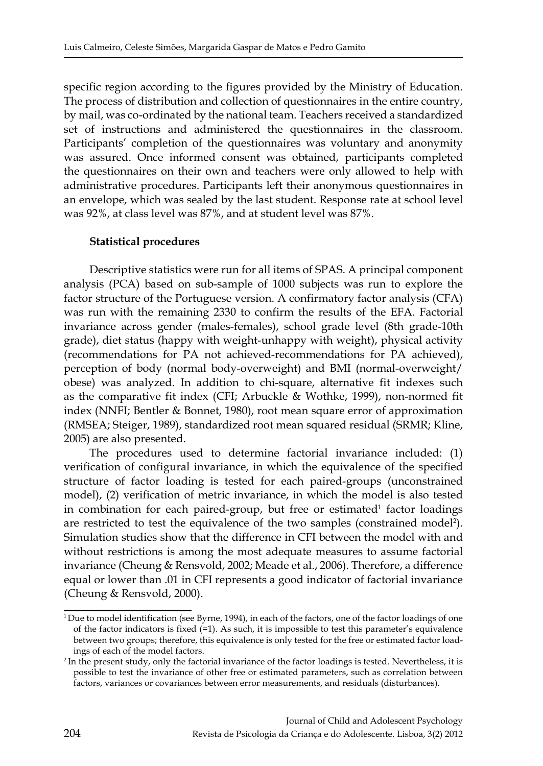specific region according to the figures provided by the Ministry of Education. The process of distribution and collection of questionnaires in the entire country, by mail, was co-ordinated by the national team. Teachers received a standardized set of instructions and administered the questionnaires in the classroom. Participants' completion of the questionnaires was voluntary and anonymity was assured. Once informed consent was obtained, participants completed the questionnaires on their own and teachers were only allowed to help with administrative procedures. Participants left their anonymous questionnaires in an envelope, which was sealed by the last student. Response rate at school level was 92%, at class level was 87%, and at student level was 87%.

#### **Statistical procedures**

Descriptive statistics were run for all items of SPAS. A principal component analysis (PCA) based on sub-sample of 1000 subjects was run to explore the factor structure of the Portuguese version. A confirmatory factor analysis (CFA) was run with the remaining 2330 to confirm the results of the EFA. Factorial invariance across gender (males-females), school grade level (8th grade-10th grade), diet status (happy with weight-unhappy with weight), physical activity (recommendations for PA not achieved-recommendations for PA achieved), perception of body (normal body-overweight) and BMI (normal-overweight/ obese) was analyzed. In addition to chi-square, alternative fit indexes such as the comparative fit index (CFI; Arbuckle & Wothke, 1999), non-normed fit index (NNFI; Bentler & Bonnet, 1980), root mean square error of approximation (RMSEA; Steiger, 1989), standardized root mean squared residual (SRMR; Kline, 2005) are also presented.

The procedures used to determine factorial invariance included: (1) verification of configural invariance, in which the equivalence of the specified structure of factor loading is tested for each paired-groups (unconstrained model), (2) verification of metric invariance, in which the model is also tested in combination for each paired-group, but free or estimated<sup>1</sup> factor loadings are restricted to test the equivalence of the two samples (constrained model<sup>2</sup>). Simulation studies show that the difference in CFI between the model with and without restrictions is among the most adequate measures to assume factorial invariance (Cheung & Rensvold, 2002; Meade et al., 2006). Therefore, a difference equal or lower than .01 in CFI represents a good indicator of factorial invariance (Cheung & Rensvold, 2000).

<sup>&</sup>lt;sup>1</sup> Due to model identification (see Byrne, 1994), in each of the factors, one of the factor loadings of one of the factor indicators is fixed (=1). As such, it is impossible to test this parameter's equivalence between two groups; therefore, this equivalence is only tested for the free or estimated factor loadings of each of the model factors.

<sup>&</sup>lt;sup>2</sup> In the present study, only the factorial invariance of the factor loadings is tested. Nevertheless, it is possible to test the invariance of other free or estimated parameters, such as correlation between factors, variances or covariances between error measurements, and residuals (disturbances).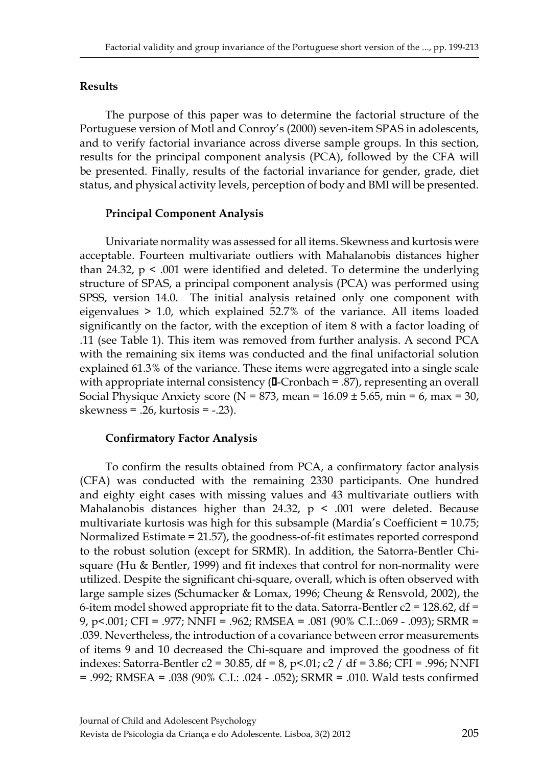## **Results**

The purpose of this paper was to determine the factorial structure of the Portuguese version of Motl and Conroy's (2000) seven-item SPAS in adolescents, and to verify factorial invariance across diverse sample groups. In this section, results for the principal component analysis (PCA), followed by the CFA will be presented. Finally, results of the factorial invariance for gender, grade, diet status, and physical activity levels, perception of body and BMI will be presented.

## **Principal Component Analysis**

Univariate normality was assessed for all items. Skewness and kurtosis were acceptable. Fourteen multivariate outliers with Mahalanobis distances higher than 24.32,  $p \le 0.001$  were identified and deleted. To determine the underlying structure of SPAS, a principal component analysis (PCA) was performed using SPSS, version 14.0. The initial analysis retained only one component with eigenvalues > 1.0, which explained 52.7% of the variance. All items loaded significantly on the factor, with the exception of item 8 with a factor loading of .11 (see Table 1). This item was removed from further analysis. A second PCA with the remaining six items was conducted and the final unifactorial solution explained 61.3% of the variance. These items were aggregated into a single scale with appropriate internal consistency (**I**-Cronbach = .87), representing an overall Social Physique Anxiety score ( $N = 873$ , mean = 16.09  $\pm$  5.65, min = 6, max = 30, skewness = .26, kurtosis = -.23).

## **Confirmatory Factor Analysis**

To confirm the results obtained from PCA, a confirmatory factor analysis (CFA) was conducted with the remaining 2330 participants. One hundred and eighty eight cases with missing values and 43 multivariate outliers with Mahalanobis distances higher than 24.32,  $p \leq .001$  were deleted. Because multivariate kurtosis was high for this subsample (Mardia's Coefficient = 10.75; Normalized Estimate = 21.57), the goodness-of-fit estimates reported correspond to the robust solution (except for SRMR). In addition, the Satorra-Bentler Chisquare (Hu & Bentler, 1999) and fit indexes that control for non-normality were utilized. Despite the significant chi-square, overall, which is often observed with large sample sizes (Schumacker & Lomax, 1996; Cheung & Rensvold, 2002), the 6-item model showed appropriate fit to the data. Satorra-Bentler  $c2 = 128.62$ , df = 9, p<.001; CFI = .977; NNFI = .962; RMSEA = .081 (90% C.I.:.069 - .093); SRMR = .039. Nevertheless, the introduction of a covariance between error measurements of items 9 and 10 decreased the Chi-square and improved the goodness of fit indexes: Satorra-Bentler c2 = 30.85, df = 8, p<.01; c2 / df = 3.86; CFI = .996; NNFI = .992; RMSEA = .038 (90% C.I.: .024 - .052); SRMR = .010. Wald tests confirmed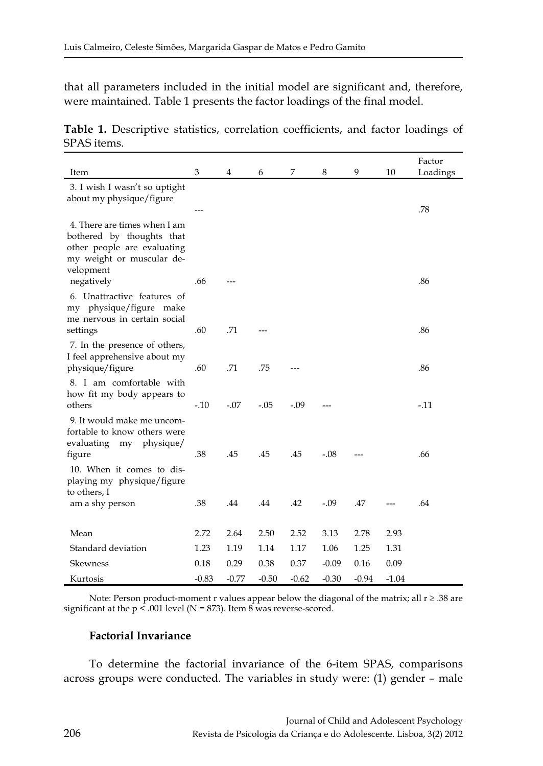that all parameters included in the initial model are significant and, therefore, were maintained. Table 1 presents the factor loadings of the final model.

**Table 1.** Descriptive statistics, correlation coefficients, and factor loadings of SPAS items.

| Item                                                                                                                               | 3       | 4       | 6       | 7       | 8       | 9       | 10      | Factor<br>Loadings |
|------------------------------------------------------------------------------------------------------------------------------------|---------|---------|---------|---------|---------|---------|---------|--------------------|
| 3. I wish I wasn't so uptight<br>about my physique/figure                                                                          |         |         |         |         |         |         |         | .78                |
| 4. There are times when I am<br>bothered by thoughts that<br>other people are evaluating<br>my weight or muscular de-<br>velopment |         |         |         |         |         |         |         |                    |
| negatively<br>6. Unattractive features of<br>my physique/figure make<br>me nervous in certain social                               | .66     |         |         |         |         |         |         | .86                |
| settings<br>7. In the presence of others,                                                                                          | .60     | .71     |         |         |         |         |         | .86                |
| I feel apprehensive about my<br>physique/figure                                                                                    | .60     | .71     | .75     |         |         |         |         | .86                |
| 8. I am comfortable with<br>how fit my body appears to<br>others                                                                   | $-.10$  | $-.07$  | $-.05$  | $-.09$  |         |         |         | $-11$              |
| 9. It would make me uncom-<br>fortable to know others were<br>evaluating<br>physique/<br>my<br>figure                              | .38     | .45     | .45     | .45     | $-.08$  |         |         | .66                |
| 10. When it comes to dis-<br>playing my physique/figure<br>to others, I                                                            |         |         |         |         |         |         |         |                    |
| am a shy person                                                                                                                    | .38     | .44     | .44     | .42     | $-.09$  | .47     |         | .64                |
| Mean                                                                                                                               | 2.72    | 2.64    | 2.50    | 2.52    | 3.13    | 2.78    | 2.93    |                    |
| Standard deviation                                                                                                                 | 1.23    | 1.19    | 1.14    | 1.17    | 1.06    | 1.25    | 1.31    |                    |
| Skewness                                                                                                                           | 0.18    | 0.29    | 0.38    | 0.37    | $-0.09$ | 0.16    | 0.09    |                    |
| Kurtosis                                                                                                                           | $-0.83$ | $-0.77$ | $-0.50$ | $-0.62$ | $-0.30$ | $-0.94$ | $-1.04$ |                    |

Note: Person product-moment r values appear below the diagonal of the matrix; all  $r \ge 0.38$  are significant at the p < .001 level (N = 873). Item 8 was reverse-scored.

#### **Factorial Invariance**

To determine the factorial invariance of the 6-item SPAS, comparisons across groups were conducted. The variables in study were: (1) gender – male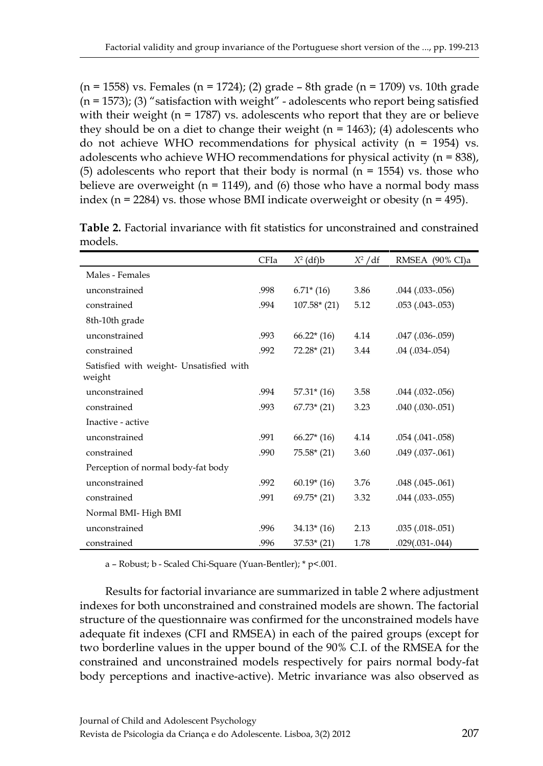$(n = 1558)$  vs. Females  $(n = 1724)$ ; (2) grade – 8th grade  $(n = 1709)$  vs. 10th grade  $(n = 1573)$ ; (3) "satisfaction with weight" - adolescents who report being satisfied with their weight ( $n = 1787$ ) vs. adolescents who report that they are or believe they should be on a diet to change their weight ( $n = 1463$ ); (4) adolescents who do not achieve WHO recommendations for physical activity  $(n = 1954)$  vs. adolescents who achieve WHO recommendations for physical activity  $(n = 838)$ , (5) adolescents who report that their body is normal  $(n = 1554)$  vs. those who believe are overweight ( $n = 1149$ ), and (6) those who have a normal body mass index ( $n = 2284$ ) vs. those whose BMI indicate overweight or obesity ( $n = 495$ ).

|                                                   | CFIa | $X^2$ (df)b   | $X^2/df$ | RMSEA (90% CI)a      |
|---------------------------------------------------|------|---------------|----------|----------------------|
| Males - Females                                   |      |               |          |                      |
| unconstrained                                     | .998 | $6.71*(16)$   | 3.86     | .044 (.033-.056)     |
| constrained                                       | .994 | $107.58*(21)$ | 5.12     | $.053$ $(.043-.053)$ |
| 8th-10th grade                                    |      |               |          |                      |
| unconstrained                                     | .993 | $66.22*(16)$  | 4.14     | $.047$ $(.036-.059)$ |
| constrained                                       | .992 | $72.28*(21)$  | 3.44     | $.04$ $(.034-.054)$  |
| Satisfied with weight- Unsatisfied with<br>weight |      |               |          |                      |
| unconstrained                                     | .994 | $57.31*(16)$  | 3.58     | $.044$ $(.032-.056)$ |
| constrained                                       | .993 | $67.73*(21)$  | 3.23     | $.040$ $(.030-.051)$ |
| Inactive - active                                 |      |               |          |                      |
| unconstrained                                     | .991 | $66.27*(16)$  | 4.14     | $.054$ $(.041-.058)$ |
| constrained                                       | .990 | $75.58*(21)$  | 3.60     | $.049$ $(.037-.061)$ |
| Perception of normal body-fat body                |      |               |          |                      |
| unconstrained                                     | .992 | $60.19*(16)$  | 3.76     | $.048$ $(.045-.061)$ |
| constrained                                       | .991 | $69.75*(21)$  | 3.32     | $.044$ $(.033-.055)$ |
| Normal BMI-High BMI                               |      |               |          |                      |
| unconstrained                                     | .996 | $34.13*(16)$  | 2.13     | $.035(.018-.051)$    |
| constrained                                       | .996 | $37.53*(21)$  | 1.78     | $.029(.031-.044)$    |

**Table 2.** Factorial invariance with fit statistics for unconstrained and constrained models.

a – Robust; b - Scaled Chi-Square (Yuan-Bentler); \* p<.001.

Results for factorial invariance are summarized in table 2 where adjustment indexes for both unconstrained and constrained models are shown. The factorial structure of the questionnaire was confirmed for the unconstrained models have adequate fit indexes (CFI and RMSEA) in each of the paired groups (except for two borderline values in the upper bound of the 90% C.I. of the RMSEA for the constrained and unconstrained models respectively for pairs normal body-fat body perceptions and inactive-active). Metric invariance was also observed as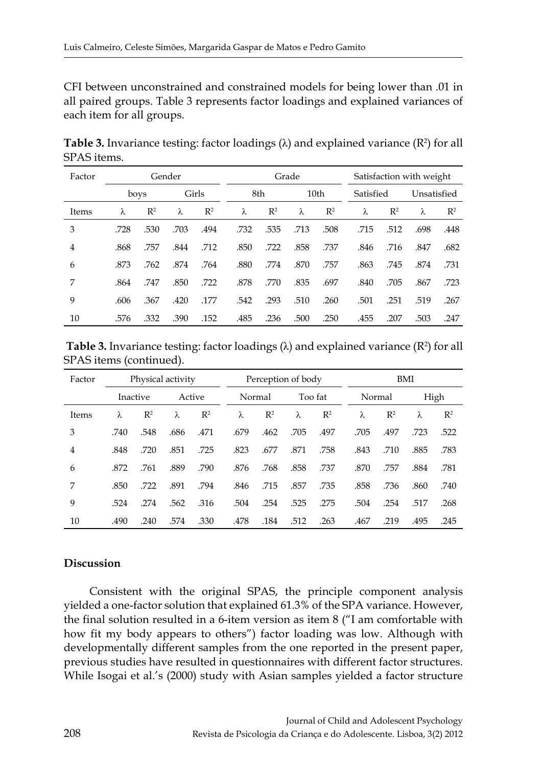CFI between unconstrained and constrained models for being lower than .01 in all paired groups. Table 3 represents factor loadings and explained variances of each item for all groups.

**Table 3.** Invariance testing: factor loadings (λ) and explained variance (R<sup>2</sup>) for all SPAS items.

| Factor | Gender |                |       |                |      |                | Grade            |                | Satisfaction with weight |                |             |                |  |
|--------|--------|----------------|-------|----------------|------|----------------|------------------|----------------|--------------------------|----------------|-------------|----------------|--|
|        | boys   |                | Girls |                | 8th  |                | 10 <sub>th</sub> |                | Satisfied                |                | Unsatisfied |                |  |
| Items  | λ      | $\mathbb{R}^2$ | λ     | $\mathbb{R}^2$ | λ    | $\mathbb{R}^2$ | λ                | $\mathbb{R}^2$ | λ                        | $\mathbb{R}^2$ | λ           | $\mathbb{R}^2$ |  |
| 3      | .728   | .530           | .703  | .494           | .732 | .535           | .713             | .508           | .715                     | .512           | .698        | .448           |  |
| 4      | .868   | .757           | .844  | .712           | .850 | .722           | .858             | .737           | .846                     | .716           | .847        | .682           |  |
| 6      | .873   | .762           | .874  | .764           | .880 | .774           | .870             | .757           | .863                     | .745           | .874        | .731           |  |
| 7      | .864   | .747           | .850  | .722           | .878 | .770           | .835             | .697           | .840                     | .705           | .867        | .723           |  |
| 9      | .606   | .367           | .420  | .177           | .542 | .293           | .510             | .260           | .501                     | .251           | .519        | .267           |  |
| 10     | .576   | .332           | .390  | .152           | .485 | .236           | .500             | .250           | .455                     | .207           | .503        | .247           |  |

**Table 3.** Invariance testing: factor loadings ( $\lambda$ ) and explained variance ( $\mathsf{R}^2$ ) for all SPAS items (continued).

| Factor | Physical activity |                    |      |                | Perception of body |                |         |                |  | BMI    |                |      |                |  |
|--------|-------------------|--------------------|------|----------------|--------------------|----------------|---------|----------------|--|--------|----------------|------|----------------|--|
|        |                   | Inactive<br>Active |      |                | Normal             |                | Too fat |                |  | Normal |                | High |                |  |
| Items  | λ                 | $\mathbb{R}^2$     | λ    | $\mathbb{R}^2$ | λ                  | $\mathbb{R}^2$ | λ       | $\mathbb{R}^2$ |  | λ      | $\mathbb{R}^2$ | λ    | $\mathbb{R}^2$ |  |
| 3      | .740              | .548               | .686 | .471           | .679               | .462           | .705    | .497           |  | .705   | .497           | .723 | .522           |  |
| 4      | .848              | .720               | .851 | .725           | .823               | .677           | .871    | .758           |  | .843   | .710           | .885 | .783           |  |
| 6      | .872              | .761               | .889 | .790           | .876               | .768           | .858    | .737           |  | .870   | .757           | .884 | .781           |  |
| 7      | .850              | .722               | .891 | .794           | .846               | .715           | .857    | .735           |  | .858   | .736           | .860 | .740           |  |
| 9      | .524              | .274               | .562 | .316           | .504               | .254           | .525    | .275           |  | .504   | .254           | .517 | .268           |  |
| 10     | .490              | .240               | .574 | .330           | .478               | .184           | .512    | .263           |  | .467   | .219           | .495 | .245           |  |

# **Discussion**

Consistent with the original SPAS, the principle component analysis yielded a one-factor solution that explained 61.3% of the SPA variance. However, the final solution resulted in a 6-item version as item 8 ("I am comfortable with how fit my body appears to others") factor loading was low. Although with developmentally different samples from the one reported in the present paper, previous studies have resulted in questionnaires with different factor structures. While Isogai et al.'s (2000) study with Asian samples yielded a factor structure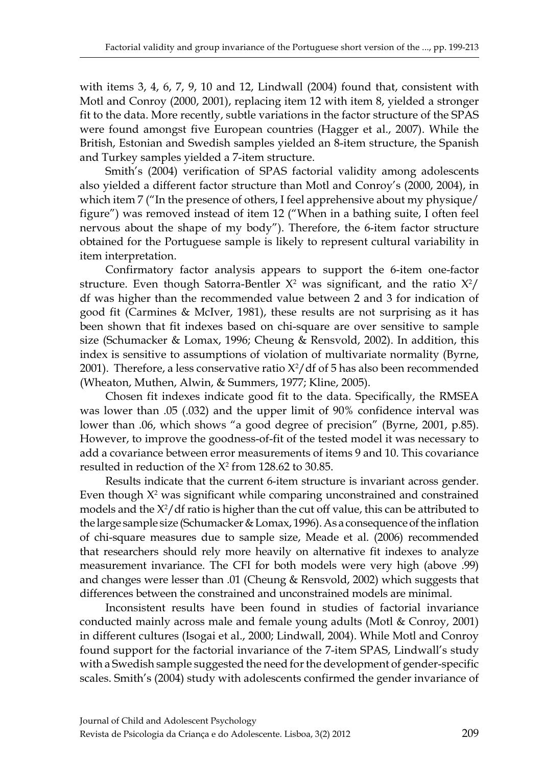with items 3, 4, 6, 7, 9, 10 and 12, Lindwall (2004) found that, consistent with Motl and Conroy (2000, 2001), replacing item 12 with item 8, yielded a stronger fit to the data. More recently, subtle variations in the factor structure of the SPAS were found amongst five European countries (Hagger et al., 2007). While the British, Estonian and Swedish samples yielded an 8-item structure, the Spanish and Turkey samples yielded a 7-item structure.

Smith's (2004) verification of SPAS factorial validity among adolescents also yielded a different factor structure than Motl and Conroy's (2000, 2004), in which item 7 ("In the presence of others, I feel apprehensive about my physique/ figure") was removed instead of item 12 ("When in a bathing suite, I often feel nervous about the shape of my body"). Therefore, the 6-item factor structure obtained for the Portuguese sample is likely to represent cultural variability in item interpretation.

Confirmatory factor analysis appears to support the 6-item one-factor structure. Even though Satorra-Bentler  $X^2$  was significant, and the ratio  $X^2/$ df was higher than the recommended value between 2 and 3 for indication of good fit (Carmines & McIver, 1981), these results are not surprising as it has been shown that fit indexes based on chi-square are over sensitive to sample size (Schumacker & Lomax, 1996; Cheung & Rensvold, 2002). In addition, this index is sensitive to assumptions of violation of multivariate normality (Byrne, 2001). Therefore, a less conservative ratio  $X^2/d$ f of 5 has also been recommended (Wheaton, Muthen, Alwin, & Summers, 1977; Kline, 2005).

Chosen fit indexes indicate good fit to the data. Specifically, the RMSEA was lower than .05 (.032) and the upper limit of 90% confidence interval was lower than .06, which shows "a good degree of precision" (Byrne, 2001, p.85). However, to improve the goodness-of-fit of the tested model it was necessary to add a covariance between error measurements of items 9 and 10. This covariance resulted in reduction of the  $X^2$  from 128.62 to 30.85.

Results indicate that the current 6-item structure is invariant across gender. Even though  $X^2$  was significant while comparing unconstrained and constrained models and the X2 /df ratio is higher than the cut off value, this can be attributed to the large sample size (Schumacker & Lomax, 1996). As a consequence of the inflation of chi-square measures due to sample size, Meade et al. (2006) recommended that researchers should rely more heavily on alternative fit indexes to analyze measurement invariance. The CFI for both models were very high (above .99) and changes were lesser than .01 (Cheung & Rensvold, 2002) which suggests that differences between the constrained and unconstrained models are minimal.

Inconsistent results have been found in studies of factorial invariance conducted mainly across male and female young adults (Motl & Conroy, 2001) in different cultures (Isogai et al., 2000; Lindwall, 2004). While Motl and Conroy found support for the factorial invariance of the 7-item SPAS, Lindwall's study with a Swedish sample suggested the need for the development of gender-specific scales. Smith's (2004) study with adolescents confirmed the gender invariance of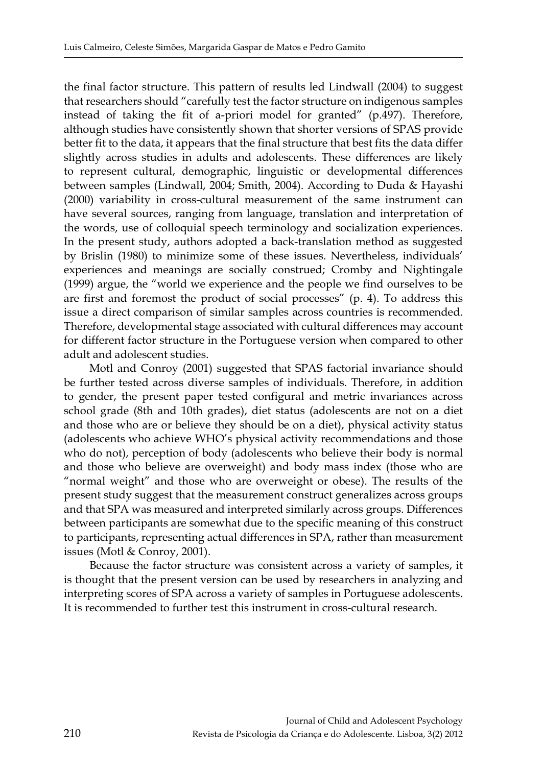the final factor structure. This pattern of results led Lindwall (2004) to suggest that researchers should "carefully test the factor structure on indigenous samples instead of taking the fit of a-priori model for granted" (p.497). Therefore, although studies have consistently shown that shorter versions of SPAS provide better fit to the data, it appears that the final structure that best fits the data differ slightly across studies in adults and adolescents. These differences are likely to represent cultural, demographic, linguistic or developmental differences between samples (Lindwall, 2004; Smith, 2004). According to Duda & Hayashi (2000) variability in cross-cultural measurement of the same instrument can have several sources, ranging from language, translation and interpretation of the words, use of colloquial speech terminology and socialization experiences. In the present study, authors adopted a back-translation method as suggested by Brislin (1980) to minimize some of these issues. Nevertheless, individuals' experiences and meanings are socially construed; Cromby and Nightingale (1999) argue, the "world we experience and the people we find ourselves to be are first and foremost the product of social processes" (p. 4). To address this issue a direct comparison of similar samples across countries is recommended. Therefore, developmental stage associated with cultural differences may account for different factor structure in the Portuguese version when compared to other adult and adolescent studies.

Motl and Conroy (2001) suggested that SPAS factorial invariance should be further tested across diverse samples of individuals. Therefore, in addition to gender, the present paper tested configural and metric invariances across school grade (8th and 10th grades), diet status (adolescents are not on a diet and those who are or believe they should be on a diet), physical activity status (adolescents who achieve WHO's physical activity recommendations and those who do not), perception of body (adolescents who believe their body is normal and those who believe are overweight) and body mass index (those who are "normal weight" and those who are overweight or obese). The results of the present study suggest that the measurement construct generalizes across groups and that SPA was measured and interpreted similarly across groups. Differences between participants are somewhat due to the specific meaning of this construct to participants, representing actual differences in SPA, rather than measurement issues (Motl & Conroy, 2001).

Because the factor structure was consistent across a variety of samples, it is thought that the present version can be used by researchers in analyzing and interpreting scores of SPA across a variety of samples in Portuguese adolescents. It is recommended to further test this instrument in cross-cultural research.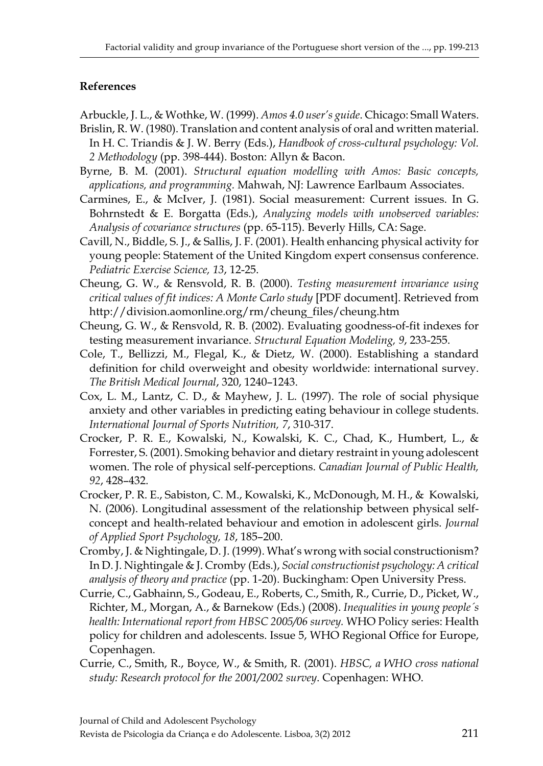# **References**

Arbuckle, J. L., & Wothke, W. (1999). *Amos 4.0 user's guide*. Chicago: Small Waters.

- Brislin, R. W. (1980). Translation and content analysis of oral and written material. In H. C. Triandis & J. W. Berry (Eds.), *Handbook of cross-cultural psychology: Vol. 2 Methodology* (pp. 398-444). Boston: Allyn & Bacon.
- Byrne, B. M. (2001). *Structural equation modelling with Amos: Basic concepts, applications, and programming.* Mahwah, NJ: Lawrence Earlbaum Associates.
- Carmines, E., & McIver, J. (1981). Social measurement: Current issues. In G. Bohrnstedt & E. Borgatta (Eds.), *Analyzing models with unobserved variables: Analysis of covariance structures* (pp. 65-115). Beverly Hills, CA: Sage.
- Cavill, N., Biddle, S. J., & Sallis, J. F. (2001). Health enhancing physical activity for young people: Statement of the United Kingdom expert consensus conference. *Pediatric Exercise Science, 13*, 12-25.
- Cheung, G. W., & Rensvold, R. B. (2000). *Testing measurement invariance using critical values of fit indices: A Monte Carlo study* [PDF document]. Retrieved from http://division.aomonline.org/rm/cheung\_files/cheung.htm
- Cheung, G. W., & Rensvold, R. B. (2002). Evaluating goodness-of-fit indexes for testing measurement invariance. *Structural Equation Modeling, 9*, 233-255.
- Cole, T., Bellizzi, M., Flegal, K., & Dietz, W. (2000). Establishing a standard definition for child overweight and obesity worldwide: international survey. *The British Medical Journal*, 320, 1240–1243.
- Cox, L. M., Lantz, C. D., & Mayhew, J. L. (1997). The role of social physique anxiety and other variables in predicting eating behaviour in college students. *International Journal of Sports Nutrition, 7*, 310-317.
- Crocker, P. R. E., Kowalski, N., Kowalski, K. C., Chad, K., Humbert, L., & Forrester, S. (2001). Smoking behavior and dietary restraint in young adolescent women. The role of physical self-perceptions. *Canadian Journal of Public Health, 92*, 428–432.
- Crocker, P. R. E., Sabiston, C. M., Kowalski, K., McDonough, M. H., & Kowalski, N. (2006). Longitudinal assessment of the relationship between physical selfconcept and health-related behaviour and emotion in adolescent girls. *Journal of Applied Sport Psychology, 18*, 185–200.
- Cromby, J. & Nightingale, D. J. (1999). What's wrong with social constructionism? In D. J. Nightingale & J. Cromby (Eds.), *Social constructionist psychology: A critical analysis of theory and practice* (pp. 1-20). Buckingham: Open University Press.
- Currie, C., Gabhainn, S., Godeau, E., Roberts, C., Smith, R., Currie, D., Picket, W., Richter, M., Morgan, A., & Barnekow (Eds.) (2008). *Inequalities in young people´s health: International report from HBSC 2005/06 survey.* WHO Policy series: Health policy for children and adolescents. Issue 5, WHO Regional Office for Europe, Copenhagen.
- Currie, C., Smith, R., Boyce, W., & Smith, R. (2001). *HBSC, a WHO cross national study: Research protocol for the 2001/2002 survey*. Copenhagen: WHO.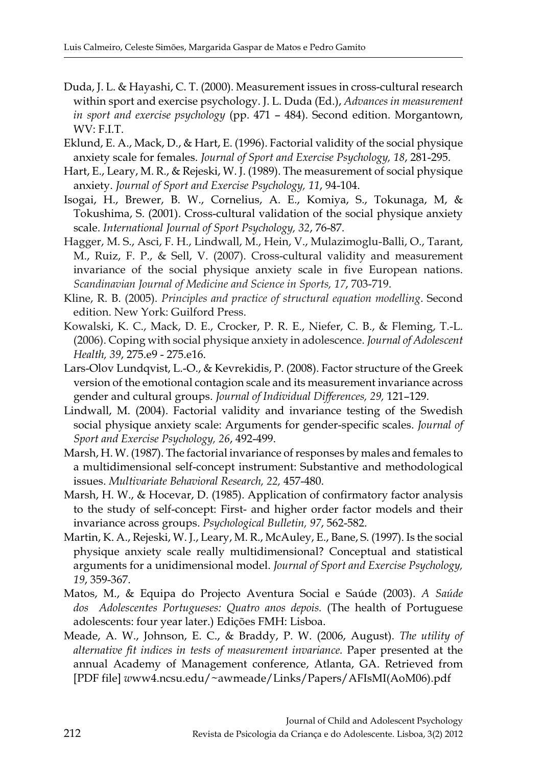- Duda, J. L. & Hayashi, C. T. (2000). Measurement issues in cross-cultural research within sport and exercise psychology. J. L. Duda (Ed.), *Advances in measurement in sport and exercise psychology* (pp. 471 – 484). Second edition. Morgantown, WV: F.I.T.
- Eklund, E. A., Mack, D., & Hart, E. (1996). Factorial validity of the social physique anxiety scale for females. *Journal of Sport and Exercise Psychology, 18*, 281-295.
- Hart, E., Leary, M. R., & Rejeski, W. J. (1989). The measurement of social physique anxiety. *Journal of Sport and Exercise Psychology, 11*, 94-104.
- Isogai, H., Brewer, B. W., Cornelius, A. E., Komiya, S., Tokunaga, M, & Tokushima, S. (2001). Cross-cultural validation of the social physique anxiety scale. *International Journal of Sport Psychology, 32*, 76-87.
- Hagger, M. S., Asci, F. H., Lindwall, M., Hein, V., Mulazimoglu-Balli, O., Tarant, M., Ruiz, F. P., & Sell, V. (2007). Cross-cultural validity and measurement invariance of the social physique anxiety scale in five European nations. *Scandinavian Journal of Medicine and Science in Sports, 17*, 703-719.
- Kline, R. B. (2005). *Principles and practice of structural equation modelling*. Second edition. New York: Guilford Press.
- Kowalski, K. C., Mack, D. E., Crocker, P. R. E., Niefer, C. B., & Fleming, T.-L. (2006). Coping with social physique anxiety in adolescence. *Journal of Adolescent Health, 39*, 275.e9 - 275.e16.
- Lars-Olov Lundqvist, L.-O., & Kevrekidis, P. (2008). Factor structure of the Greek version of the emotional contagion scale and its measurement invariance across gender and cultural groups. *Journal of Individual Differences, 29,* 121–129.
- Lindwall, M. (2004). Factorial validity and invariance testing of the Swedish social physique anxiety scale: Arguments for gender-specific scales. *Journal of Sport and Exercise Psychology, 26*, 492-499.
- Marsh, H. W. (1987). The factorial invariance of responses by males and females to a multidimensional self-concept instrument: Substantive and methodological issues. *Multivariate Behavioral Research, 22,* 457-480.
- Marsh, H. W., & Hocevar, D. (1985). Application of confirmatory factor analysis to the study of self-concept: First- and higher order factor models and their invariance across groups. *Psychological Bulletin, 97*, 562-582.
- Martin, K. A., Rejeski, W. J., Leary, M. R., McAuley, E., Bane, S. (1997). Is the social physique anxiety scale really multidimensional? Conceptual and statistical arguments for a unidimensional model. *Journal of Sport and Exercise Psychology, 19*, 359-367.
- Matos, M., & Equipa do Projecto Aventura Social e Saúde (2003). *A Saúde dos Adolescentes Portugueses: Quatro anos depois.* (The health of Portuguese adolescents: four year later.) Edições FMH: Lisboa.
- Meade, A. W., Johnson, E. C., & Braddy, P. W. (2006, August). *The utility of alternative fit indices in tests of measurement invariance.* Paper presented at the annual Academy of Management conference, Atlanta, GA. Retrieved from [PDF file] *w*ww4.ncsu.edu/~awmeade/Links/Papers/AFIsMI(AoM06).pdf